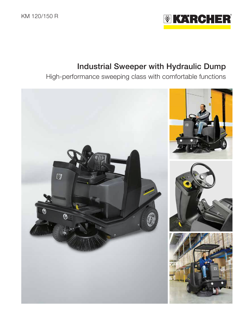

# Industrial Sweeper with Hydraulic Dump

High-performance sweeping class with comfortable functions

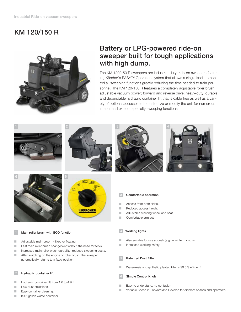# KM 120/150 R



# Battery or LPG-powered ride-on sweeper built for tough applications with high dump.

The KM 120/150 R sweepers are industrial-duty, ride-on sweepers featuring Kärcher's EASY™ Operation system that allows a single knob to control all sweeping functions greatly reducing the time needed to train personnel. The KM 120/150 R features a completely adjustable roller brush; adjustable vacuum power; forward and reverse drive; heavy-duty, durable and dependable hydraulic container lift that is cable free as well as a variety of optional accessories to customize or modify the unit for numerous interior and exterior specialty sweeping functions.



## Main roller brush with ECO function

- **Adjustable main broom fixed or floating**
- **Fast main roller brush changeover without the need for tools.**
- Increased main roller brush durability; reduced sweeping costs.
- **After switching off the engine or roller brush, the sweeper** automatically returns to a fixed position.

### Hydraulic container lift

- Hydraulic container lift from 1.6 to 4.9 ft.
- **Low dust emissions.**
- **Easy container cleaning.**
- 39.6 gallon waste container.

## **Working lights**

- Also suitable for use at dusk (e.g. in winter months).
- **Increased working safety.**

## Patented Dust Filter

Water-resistant synthetic pleated filter is 99.5% efficient!

## 6 Simple Control Knob

- **Easy to understand, no confusion**
- Variable Speed in Forward and Reverse for different spaces and operators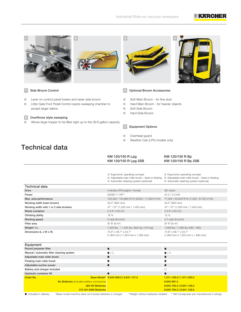## MKARCH



## 7 Side Broom Control

- **Lever on control panel lowers and raiser side broom**
- **Litter Gate Foot Pedal Control opens sweeping chamber to** accept larger debris

## 8 Overthrow style sweeping

**Allows large hopper to be filled right up to the 39.6 gallon capacity** 





## 9 Optional Broom Accessories

- Soft Main Broom for fine dust
- **Hard Main Broom for heavier objects**
- Soft Side Broom
- **Hard Side Broom**

## 4 Equipment Options

- **Name Overhead guard**
- Weather Cab (LPG models only)

# Technical data

| KM 120/150 R Lpg     | KM 120/150 R Bp     |
|----------------------|---------------------|
| KM 120/150 R Lpg 2SB | KM 120/150 R Bp 2SB |

|                                        | Ergonomic operating concept<br>Adjustable main roller brush - fixed or floating<br>Automatic cleaning system (optional) | Ergonomic operating concept<br>$\blacksquare$ Adjustable main roller brush – fixed or floating<br>Automatic cleaning system (optional) |
|----------------------------------------|-------------------------------------------------------------------------------------------------------------------------|----------------------------------------------------------------------------------------------------------------------------------------|
| <b>Technical data</b>                  |                                                                                                                         |                                                                                                                                        |
| <b>Drive</b>                           | 4-stroke LPG engine / Honda                                                                                             | DC motor                                                                                                                               |
| Power                                  | GX390 11 HP**                                                                                                           | 24 V / 2.3 kW                                                                                                                          |
| Max. area performance                  | 103,334 / 124,860 ft <sup>2</sup> /hr (9,600 / 11,600 m <sup>2</sup> /hr)                                               | 77,500 / 93,645 ft <sup>2</sup> /hr (7,200 / 8,700 m <sup>2</sup> /hr)                                                                 |
| Working width (main broom)             | 33.5" (850 mm)                                                                                                          | 33.5" (850 mm)                                                                                                                         |
| Working width with 1 or 2 side brushes | 47" / 57" (1,200 mm / 1,450 mm)                                                                                         | 47" / 57" (1,200 mm / 1,450 mm)                                                                                                        |
| Waste container                        | 5.3 ft <sup>3</sup> (150 m <sup>3</sup> )                                                                               | 5.3 ft <sup>3</sup> (150 m <sup>3</sup> )                                                                                              |
| Climbing ability                       | 18 %                                                                                                                    | 12%                                                                                                                                    |
| Working speed                          | 5 mph (8 km/h)                                                                                                          | $3.7$ mph (6 km/h)                                                                                                                     |
| Filter area                            | 97 ft <sup>2</sup> (9 m <sup>2</sup> )                                                                                  | 97 ft <sup>2</sup> (9 m <sup>2</sup> )                                                                                                 |
| Weight <sup>†</sup> lbs.               | 1,323 lbs. / 1,345 lbs. (600 kg / 610 kg)                                                                               | 1,058 lbs / 1,080 lbs (480 / 490)                                                                                                      |
| Dimensions (L x W x H)                 | 74.8" x 48.1" x 54.7"<br>$(1,900$ mm x 1,223 mm x 1,390 mm)                                                             | 74.8" x 48.1" x 54.7"<br>$(1,900$ mm x 1,223 mm x 1,390 mm)                                                                            |
| Equipment                              |                                                                                                                         |                                                                                                                                        |

| Manual / automatic filter cleaning system<br>$\blacksquare$ / $\square$<br>$\blacksquare / \square$<br>Adjustable main roller brush<br>Floating main roller brush<br>Adjustable suction power<br>Battery and charger included<br>Hydraulic container lift | Round polyester filter |                           |
|-----------------------------------------------------------------------------------------------------------------------------------------------------------------------------------------------------------------------------------------------------------|------------------------|---------------------------|
|                                                                                                                                                                                                                                                           |                        |                           |
|                                                                                                                                                                                                                                                           |                        |                           |
|                                                                                                                                                                                                                                                           |                        |                           |
|                                                                                                                                                                                                                                                           |                        |                           |
|                                                                                                                                                                                                                                                           |                        |                           |
|                                                                                                                                                                                                                                                           |                        |                           |
| Base Model* 9.840-859.0   9.841-127.0                                                                                                                                                                                                                     | Order No.              | 1.511-109.0   1.511-209.0 |
| No Batteries (includes battery connectors)<br>9.840-891.0                                                                                                                                                                                                 |                        |                           |
| 9.840-763.0   9.841-128.0<br><b>360 AH Batteries</b>                                                                                                                                                                                                      |                        |                           |
| 9.840-764.0   9.841-129.0<br><b>312 AH AGM Batteries</b>                                                                                                                                                                                                  |                        |                           |

Included in delivery. \* Base model machine does not include batteries or charger. † Weight without batteries installed \*\* Net horsepower per manufacturer's ratings